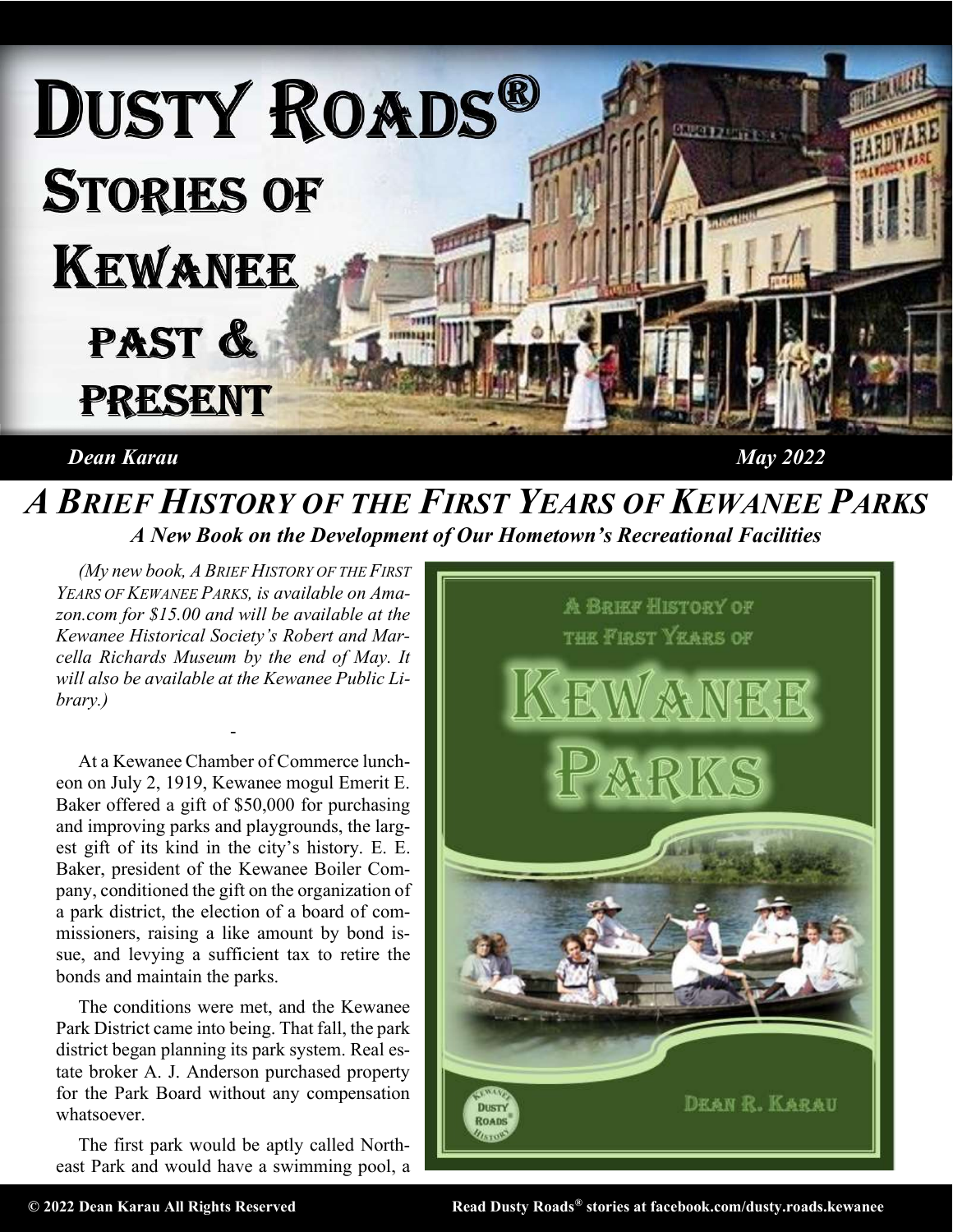

## Dean Karau May 2022

## A BRIEF HISTORY OF THE FIRST YEARS OF KEWANEE PARKS A New Book on the Development of Our Hometown's Recreational Facilities

(My new book, A BRIEF HISTORY OF THE FIRST YEARS OF KEWANEE PARKS, is available on Amazon.com for \$15.00 and will be available at the Kewanee Historical Society's Robert and Marcella Richards Museum by the end of May. It will also be available at the Kewanee Public Library.)

-

At a Kewanee Chamber of Commerce luncheon on July 2, 1919, Kewanee mogul Emerit E. Baker offered a gift of \$50,000 for purchasing and improving parks and playgrounds, the largest gift of its kind in the city's history. E. E. Baker, president of the Kewanee Boiler Company, conditioned the gift on the organization of a park district, the election of a board of commissioners, raising a like amount by bond issue, and levying a sufficient tax to retire the bonds and maintain the parks.

The conditions were met, and the Kewanee Park District came into being. That fall, the park district began planning its park system. Real estate broker A. J. Anderson purchased property for the Park Board without any compensation whatsoever.

The first park would be aptly called Northeast Park and would have a swimming pool, a



© 2022 Dean Karau All Rights Reserved Read Dusty Roads® stories at facebook.com/dusty.roads.kewanee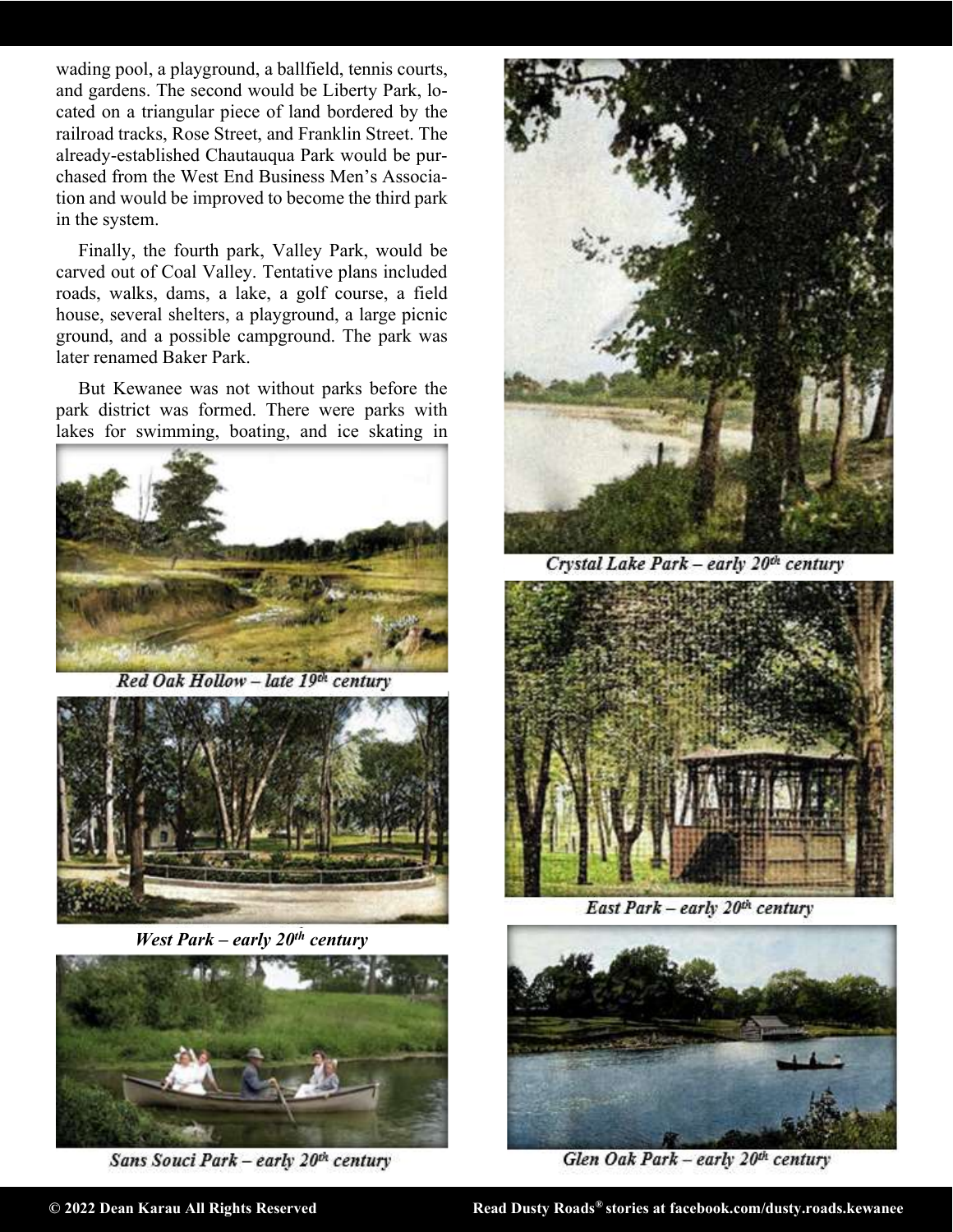wading pool, a playground, a ballfield, tennis courts, and gardens. The second would be Liberty Park, located on a triangular piece of land bordered by the railroad tracks, Rose Street, and Franklin Street. The already-established Chautauqua Park would be purchased from the West End Business Men's Association and would be improved to become the third park in the system.

Finally, the fourth park, Valley Park, would be carved out of Coal Valley. Tentative plans included roads, walks, dams, a lake, a golf course, a field house, several shelters, a playground, a large picnic ground, and a possible campground. The park was later renamed Baker Park.

But Kewanee was not without parks before the park district was formed. There were parks with lakes for swimming, boating, and ice skating in



Red Oak Hollow - late 19th century



West Park – early  $20<sup>th</sup>$  century



Sans Souci Park - early 20th century



Crystal Lake Park - early 20<sup>th</sup> century



East Park - early 20th century



Glen Oak Park - early 20th century

© 2022 Dean Karau All Rights Reserved **Read Dusty Roads®** stories at facebook.com/dusty.roads.kewanee